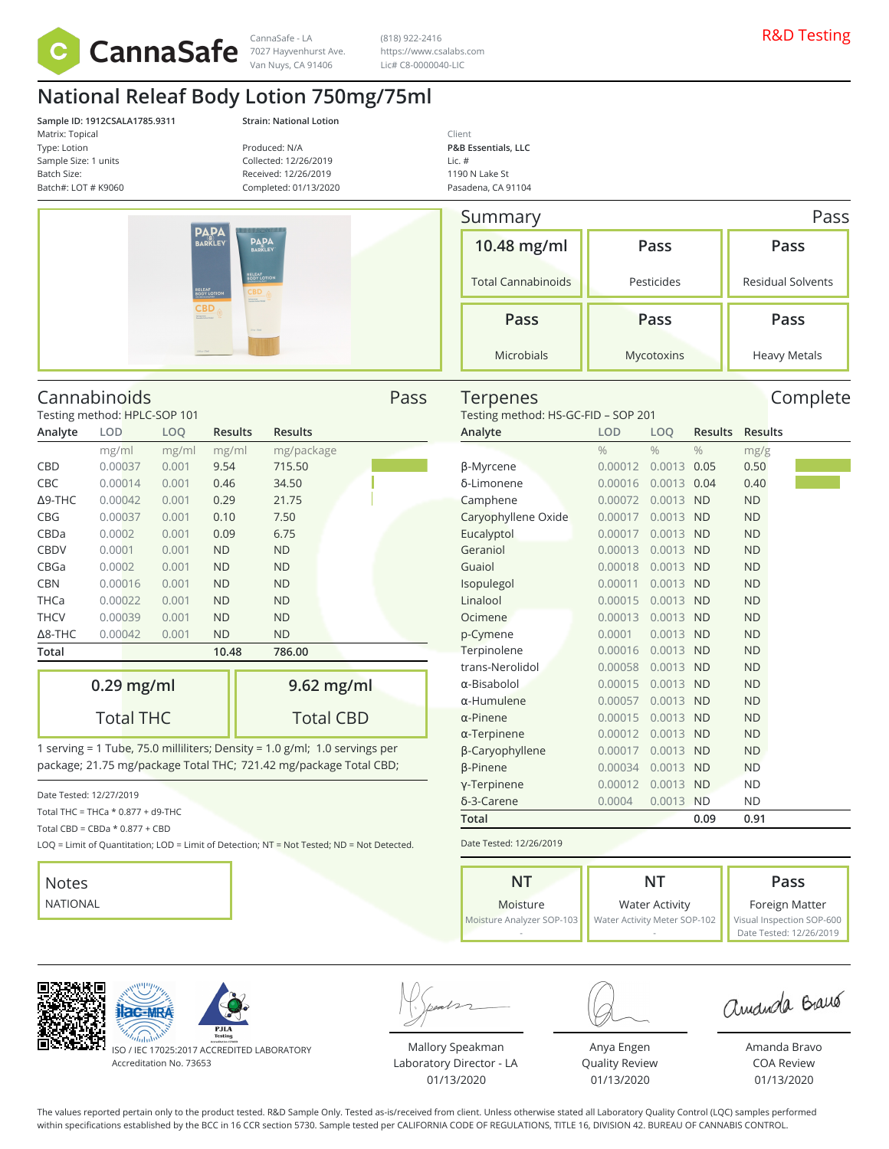

7027 Hayvenhurst Ave. Van Nuys, CA 91406

(818) 922-2416 https://www.csalabs.com Lic# C8-0000040-LIC

# **National Releaf Body Lotion 750mg/75ml**

**Sample ID: 1912CSALA1785.9311 Strain: National Lotion** Matrix: Topical Type: Lotion Sample Size: 1 units Batch Size: Batch#: LOT # K9060

Produced: N/A Collected: 12/26/2019 Received: 12/26/2019 Completed: 01/13/2020

| <b>PAPA</b>                                                                                     | <b>HARRIST BELLEVILLE AND ARTISTS</b><br><b>PAPA</b><br><b>BARKLEY</b>           |
|-------------------------------------------------------------------------------------------------|----------------------------------------------------------------------------------|
| <b>RELEAF</b><br>BODY LOTION<br><b>CBD</b><br><b>Cult Symbon</b><br>Complet School Plantal<br>÷ | <b>RELEAF</b><br>BODY LOTION<br><b>CBD</b><br>Ad Loches<br>Genetic Indian Street |
| 23 8 40 (700)                                                                                   | University                                                                       |

Cannabinoids Pass

| Summary<br>Pass           |            |                          |  |  |  |  |
|---------------------------|------------|--------------------------|--|--|--|--|
| 10.48 mg/ml               | Pass       | Pass                     |  |  |  |  |
| <b>Total Cannabinoids</b> | Pesticides | <b>Residual Solvents</b> |  |  |  |  |
| Pass                      | Pass       | Pass                     |  |  |  |  |
| Microbials                | Mycotoxins | <b>Heavy Metals</b>      |  |  |  |  |

Terpenes and Complete

Testing method: HS-GC-FID – SOP 201

| Testing method: HPLC-SOP 101 |            |       |                |                |  |  |  |  |
|------------------------------|------------|-------|----------------|----------------|--|--|--|--|
| Analyte                      | <b>LOD</b> | LOQ   | <b>Results</b> | <b>Results</b> |  |  |  |  |
|                              | mg/ml      | mg/ml | mg/ml          | mg/package     |  |  |  |  |
| CBD                          | 0.00037    | 0.001 | 9.54           | 715.50         |  |  |  |  |
| <b>CBC</b>                   | 0.00014    | 0.001 | 0.46           | 34.50          |  |  |  |  |
| $\Delta$ 9-THC               | 0.00042    | 0.001 | 0.29           | 21.75          |  |  |  |  |
| CBG                          | 0.00037    | 0.001 | 0.10           | 7.50           |  |  |  |  |
| CBDa                         | 0.0002     | 0.001 | 0.09           | 6.75           |  |  |  |  |
| <b>CBDV</b>                  | 0.0001     | 0.001 | <b>ND</b>      | ND             |  |  |  |  |
| CBGa                         | 0.0002     | 0.001 | <b>ND</b>      | ND             |  |  |  |  |
| <b>CBN</b>                   | 0.00016    | 0.001 | <b>ND</b>      | ND             |  |  |  |  |
| THCa                         | 0.00022    | 0.001 | <b>ND</b>      | ND             |  |  |  |  |
| <b>THCV</b>                  | 0.00039    | 0.001 | <b>ND</b>      | ND             |  |  |  |  |
| $\Delta$ 8-THC               | 0.00042    | 0.001 | <b>ND</b>      | ND             |  |  |  |  |
| Total                        |            |       | 10.48          | 786.00         |  |  |  |  |
|                              |            |       |                |                |  |  |  |  |

| $0.29$ mg/ml     | $9.62$ mg/ml     |
|------------------|------------------|
| <b>Total THC</b> | <b>Total CBD</b> |

1 serving = 1 Tube, 75.0 milliliters; Density = 1.0 g/ml; 1.0 servings per package; 21.75 mg/package Total THC; 721.42 mg/package Total CBD;

Date Tested: 12/27/2019

Total THC = THCa \* 0.877 + d9-THC

Total CBD =  $CBDa * 0.877 + CBD$ 

LOQ = Limit of Quantitation; LOD = Limit of Detection; NT = Not Tested; ND = Not Detected.



| Analyte             | LOD           | LOQ           | <b>Results</b> | <b>Results</b> |
|---------------------|---------------|---------------|----------------|----------------|
|                     | $\frac{0}{0}$ | $\frac{0}{0}$ | $\frac{0}{0}$  | mg/g           |
| β-Myrcene           | 0.00012       | 0.0013        | 0.05           | 0.50           |
| δ-Limonene          | 0.00016       | 0.0013        | 0.04           | 0.40           |
| Camphene            | 0.00072       | 0.0013        | <b>ND</b>      | <b>ND</b>      |
| Caryophyllene Oxide | 0.00017       | 0.0013        | <b>ND</b>      | <b>ND</b>      |
| Eucalyptol          | 0.00017       | 0.0013        | <b>ND</b>      | <b>ND</b>      |
| Geraniol            | 0.00013       | 0.0013        | <b>ND</b>      | <b>ND</b>      |
| Guaiol              | 0.00018       | 0.0013        | <b>ND</b>      | <b>ND</b>      |
| Isopulegol          | 0.00011       | 0.0013        | <b>ND</b>      | <b>ND</b>      |
| Linalool            | 0.00015       | 0.0013        | <b>ND</b>      | <b>ND</b>      |
| Ocimene             | 0.00013       | 0.0013        | <b>ND</b>      | <b>ND</b>      |
| p-Cymene            | 0.0001        | 0.0013        | <b>ND</b>      | <b>ND</b>      |
| Terpinolene         | 0.00016       | 0.0013        | <b>ND</b>      | <b>ND</b>      |
| trans-Nerolidol     | 0.00058       | 0.0013        | <b>ND</b>      | <b>ND</b>      |
| $\alpha$ -Bisabolol | 0.00015       | 0.0013        | <b>ND</b>      | <b>ND</b>      |
| $\alpha$ -Humulene  | 0.00057       | 0.0013        | <b>ND</b>      | <b>ND</b>      |
| $\alpha$ -Pinene    | 0.00015       | 0.0013        | <b>ND</b>      | <b>ND</b>      |
| $\alpha$ -Terpinene | 0.00012       | 0.0013        | <b>ND</b>      | <b>ND</b>      |
| β-Caryophyllene     | 0.00017       | 0.0013        | <b>ND</b>      | <b>ND</b>      |
| <b>B-Pinene</b>     | 0.00034       | 0.0013        | <b>ND</b>      | <b>ND</b>      |
| y-Terpinene         | 0.00012       | 0.0013        | <b>ND</b>      | <b>ND</b>      |
| δ-3-Carene          | 0.0004        | 0.0013        | <b>ND</b>      | <b>ND</b>      |
| Total               |               |               | 0.09           | 0.91           |
|                     |               |               |                |                |

Date Tested: 12/26/2019

| NT                        | NIT                          | Pass                      |  |  |
|---------------------------|------------------------------|---------------------------|--|--|
| Moisture                  | <b>Water Activity</b>        | Foreign Matter            |  |  |
| Moisture Analyzer SOP-103 | Water Activity Meter SOP-102 | Visual Inspection SOP-600 |  |  |
|                           |                              | Date Tested: 12/26/2019   |  |  |





ISO / IEC 17025:2017 ACCREDITED LABORATORY Accreditation No. 73653

Mallory Speakman Laboratory Director - LA 01/13/2020

Anya Engen Quality Review 01/13/2020

amanda Braus

Amanda Bravo COA Review 01/13/2020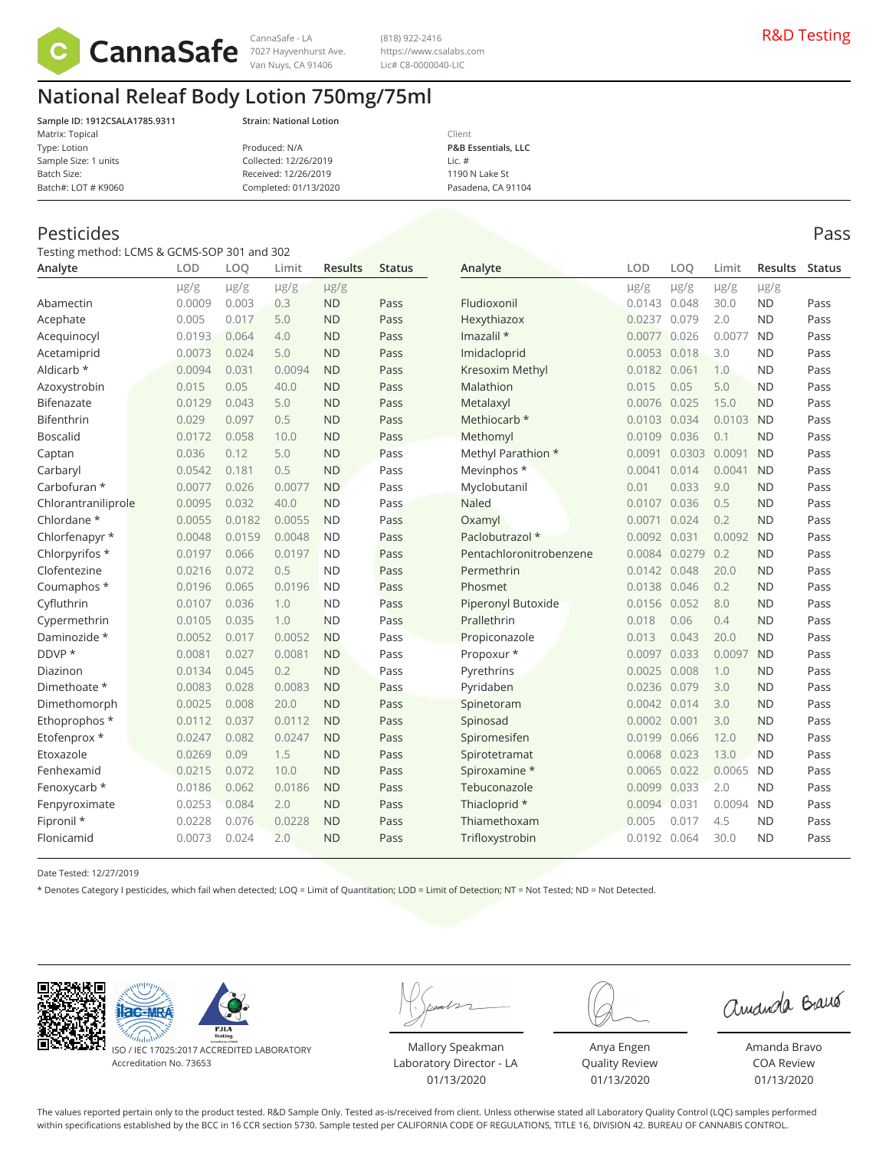

Van Nuys, CA 91406

(818) 922-2416 https://www.csalabs.com Lic# C8-0000040-LIC

## **National Releaf Body Lotion 750mg/75ml**

**Sample ID: 1912CSALA1785.9311 Strain: National Lotion** Matrix: Topical Type: Lotion Sample Size: 1 units Batch Size: Batch#: LOT # K9060

| Produced: N/A         |  |
|-----------------------|--|
| Collected: 12/26/2019 |  |
| Received: 12/26/2019  |  |
| Completed: 01/13/2020 |  |

Client **P&B Essentials, LLC** Lic. # 1190 N Lake St Pasadena, CA 91104

#### Pesticides Pass

Testing method: LCMS & GCMS-SOP 301 and 302

| Analyte             | LOD       | LOO       | Limit     | <b>Results</b> | <b>Status</b> | Analyte                   | LOD          | LOO       | Limit     | <b>Results</b> | <b>Status</b> |
|---------------------|-----------|-----------|-----------|----------------|---------------|---------------------------|--------------|-----------|-----------|----------------|---------------|
|                     | $\mu$ g/g | $\mu$ g/g | $\mu$ g/g | $\mu$ g/g      |               |                           | $\mu$ g/g    | $\mu$ g/g | $\mu$ g/g | $\mu$ g/g      |               |
| Abamectin           | 0.0009    | 0.003     | 0.3       | <b>ND</b>      | Pass          | Fludioxonil               | 0.0143       | 0.048     | 30.0      | <b>ND</b>      | Pass          |
| Acephate            | 0.005     | 0.017     | 5.0       | <b>ND</b>      | Pass          | Hexythiazox               | 0.0237       | 0.079     | 2.0       | <b>ND</b>      | Pass          |
| Acequinocyl         | 0.0193    | 0.064     | 4.0       | <b>ND</b>      | Pass          | Imazalil *                | 0.0077       | 0.026     | 0.0077    | <b>ND</b>      | Pass          |
| Acetamiprid         | 0.0073    | 0.024     | 5.0       | <b>ND</b>      | Pass          | Imidacloprid              | 0.0053       | 0.018     | 3.0       | <b>ND</b>      | Pass          |
| Aldicarb *          | 0.0094    | 0.031     | 0.0094    | <b>ND</b>      | Pass          | Kresoxim Methyl           | 0.0182       | 0.061     | 1.0       | <b>ND</b>      | Pass          |
| Azoxystrobin        | 0.015     | 0.05      | 40.0      | <b>ND</b>      | Pass          | Malathion                 | 0.015        | 0.05      | 5.0       | <b>ND</b>      | Pass          |
| Bifenazate          | 0.0129    | 0.043     | 5.0       | <b>ND</b>      | Pass          | Metalaxyl                 | 0.0076       | 0.025     | 15.0      | <b>ND</b>      | Pass          |
| Bifenthrin          | 0.029     | 0.097     | 0.5       | <b>ND</b>      | Pass          | Methiocarb *              | 0.0103       | 0.034     | 0.0103    | <b>ND</b>      | Pass          |
| <b>Boscalid</b>     | 0.0172    | 0.058     | 10.0      | <b>ND</b>      | Pass          | Methomyl                  | 0.0109       | 0.036     | 0.1       | <b>ND</b>      | Pass          |
| Captan              | 0.036     | 0.12      | 5.0       | <b>ND</b>      | Pass          | Methyl Parathion *        | 0.0091       | 0.0303    | 0.0091    | <b>ND</b>      | Pass          |
| Carbaryl            | 0.0542    | 0.181     | 0.5       | <b>ND</b>      | Pass          | Mevinphos *               | 0.0041       | 0.014     | 0.0041    | <b>ND</b>      | Pass          |
| Carbofuran *        | 0.0077    | 0.026     | 0.0077    | <b>ND</b>      | Pass          | Myclobutanil              | 0.01         | 0.033     | 9.0       | <b>ND</b>      | Pass          |
| Chlorantraniliprole | 0.0095    | 0.032     | 40.0      | <b>ND</b>      | Pass          | Naled                     | 0.0107       | 0.036     | 0.5       | <b>ND</b>      | Pass          |
| Chlordane *         | 0.0055    | 0.0182    | 0.0055    | <b>ND</b>      | Pass          | Oxamyl                    | 0.0071       | 0.024     | 0.2       | <b>ND</b>      | Pass          |
| Chlorfenapyr *      | 0.0048    | 0.0159    | 0.0048    | <b>ND</b>      | Pass          | Paclobutrazol *           | 0.0092       | 0.031     | 0.0092    | <b>ND</b>      | Pass          |
| Chlorpyrifos *      | 0.0197    | 0.066     | 0.0197    | <b>ND</b>      | Pass          | Pentachloronitrobenzene   | 0.0084       | 0.0279    | 0.2       | <b>ND</b>      | Pass          |
| Clofentezine        | 0.0216    | 0.072     | 0.5       | <b>ND</b>      | Pass          | Permethrin                | 0.0142       | 0.048     | 20.0      | <b>ND</b>      | Pass          |
| Coumaphos *         | 0.0196    | 0.065     | 0.0196    | <b>ND</b>      | Pass          | Phosmet                   | 0.0138       | 0.046     | 0.2       | <b>ND</b>      | Pass          |
| Cyfluthrin          | 0.0107    | 0.036     | 1.0       | <b>ND</b>      | Pass          | <b>Piperonyl Butoxide</b> | 0.0156 0.052 |           | 8.0       | <b>ND</b>      | Pass          |
| Cypermethrin        | 0.0105    | 0.035     | 1.0       | <b>ND</b>      | Pass          | Prallethrin               | 0.018        | 0.06      | 0.4       | <b>ND</b>      | Pass          |
| Daminozide *        | 0.0052    | 0.017     | 0.0052    | <b>ND</b>      | Pass          | Propiconazole             | 0.013        | 0.043     | 20.0      | <b>ND</b>      | Pass          |
| DDVP *              | 0.0081    | 0.027     | 0.0081    | <b>ND</b>      | Pass          | Propoxur *                | 0.0097       | 0.033     | 0.0097    | <b>ND</b>      | Pass          |
| Diazinon            | 0.0134    | 0.045     | 0.2       | <b>ND</b>      | Pass          | Pyrethrins                | 0.0025       | 0.008     | 1.0       | <b>ND</b>      | Pass          |
| Dimethoate *        | 0.0083    | 0.028     | 0.0083    | <b>ND</b>      | Pass          | Pyridaben                 | 0.0236       | 0.079     | 3.0       | <b>ND</b>      | Pass          |
| Dimethomorph        | 0.0025    | 0.008     | 20.0      | <b>ND</b>      | Pass          | Spinetoram                | 0.0042       | 0.014     | 3.0       | <b>ND</b>      | Pass          |
| Ethoprophos *       | 0.0112    | 0.037     | 0.0112    | <b>ND</b>      | Pass          | Spinosad                  | 0.0002       | 0.001     | 3.0       | <b>ND</b>      | Pass          |
| Etofenprox *        | 0.0247    | 0.082     | 0.0247    | <b>ND</b>      | Pass          | Spiromesifen              | 0.0199       | 0.066     | 12.0      | <b>ND</b>      | Pass          |
| Etoxazole           | 0.0269    | 0.09      | 1.5       | <b>ND</b>      | Pass          | Spirotetramat             | 0.0068       | 0.023     | 13.0      | <b>ND</b>      | Pass          |
| Fenhexamid          | 0.0215    | 0.072     | 10.0      | <b>ND</b>      | Pass          | Spiroxamine *             | 0.0065 0.022 |           | 0.0065    | <b>ND</b>      | Pass          |
| Fenoxycarb *        | 0.0186    | 0.062     | 0.0186    | <b>ND</b>      | Pass          | Tebuconazole              | 0.0099       | 0.033     | 2.0       | <b>ND</b>      | Pass          |
| Fenpyroximate       | 0.0253    | 0.084     | 2.0       | <b>ND</b>      | Pass          | Thiacloprid *             | 0.0094       | 0.031     | 0.0094    | <b>ND</b>      | Pass          |
| Fipronil *          | 0.0228    | 0.076     | 0.0228    | <b>ND</b>      | Pass          | Thiamethoxam              | 0.005        | 0.017     | 4.5       | <b>ND</b>      | Pass          |
| Flonicamid          | 0.0073    | 0.024     | 2.0       | <b>ND</b>      | Pass          | Trifloxystrobin           | 0.0192 0.064 |           | 30.0      | <b>ND</b>      | Pass          |
|                     |           |           |           |                |               |                           |              |           |           |                |               |

Date Tested: 12/27/2019

\* Denotes Category I pesticides, which fail when detected; LOQ = Limit of Quantitation; LOD = Limit of Detection; NT = Not Tested; ND = Not Detected.





ISO / IEC 17025:2017 ACCREDITED LABORATORY Accreditation No. 73653

Mallory Speakman Laboratory Director - LA 01/13/2020

Anya Engen Quality Review 01/13/2020

amanda Braus

Amanda Bravo COA Review 01/13/2020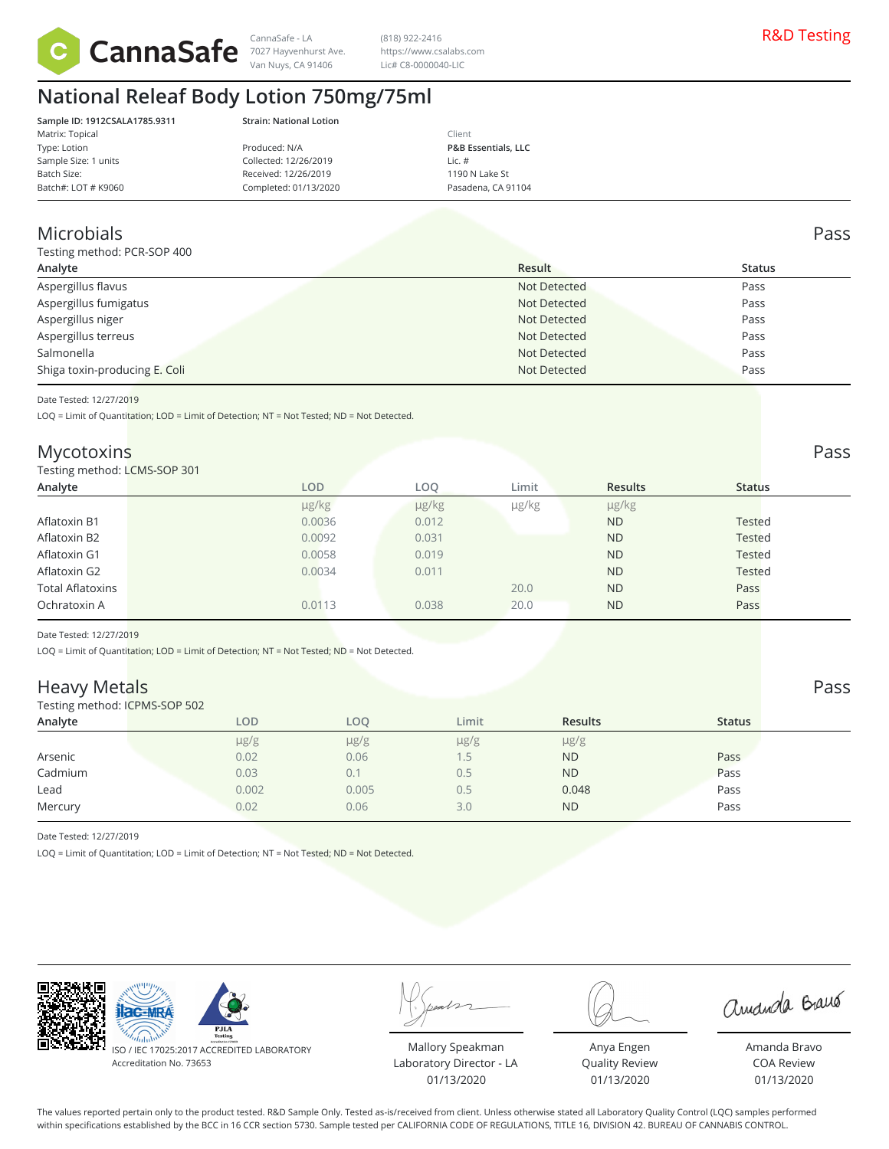

7027 Hayvenhurst Ave. Van Nuys, CA 91406

CannaSafe - LA (818) 922-2416 (818) 922-2416 (818) 922-2416 https://www.csalabs.com Lic# C8-0000040-LIC

# **National Releaf Body Lotion 750mg/75ml**

| Sample ID: 1912CSALA1785.9311 |
|-------------------------------|
| Matrix: Topical               |
| Type: Lotion                  |
| Sample Size: 1 units          |
| Batch Size:                   |
| Batch#: LOT # K9060           |

**Sample ID: 1912CSALA1785.9311 Strain: National Lotion**

|                       | Client                         |  |
|-----------------------|--------------------------------|--|
| Produced: N/A         | <b>P&amp;B Essentials, LLC</b> |  |
| Collected: 12/26/2019 | Lic. $#$                       |  |
| Received: 12/26/2019  | 1190 N Lake St                 |  |
| Completed: 01/13/2020 | Pasadena, CA 91104             |  |
|                       |                                |  |

#### Microbials Pass

sting method: PCR-SOP 400

| <b>TESUTIS TRELIOU.</b> FUN-JOF 400 |              |               |  |  |  |  |
|-------------------------------------|--------------|---------------|--|--|--|--|
| Analyte                             | Result       | <b>Status</b> |  |  |  |  |
| Aspergillus flavus                  | Not Detected | Pass          |  |  |  |  |
| Aspergillus fumigatus               | Not Detected | Pass          |  |  |  |  |
| Aspergillus niger                   | Not Detected | Pass          |  |  |  |  |
| Aspergillus terreus                 | Not Detected | Pass          |  |  |  |  |
| Salmonella                          | Not Detected | Pass          |  |  |  |  |
| Shiga toxin-producing E. Coli       | Not Detected | Pass          |  |  |  |  |
|                                     |              |               |  |  |  |  |

Date Tested: 12/27/2019

LOQ = Limit of Quantitation; LOD = Limit of Detection; NT = Not Tested; ND = Not Detected.

#### Mycotoxins Pass

#### Testing method: LCMS-SOP 301

| Testing method: LCMS-SOP 301 |            |            |       |                |               |  |
|------------------------------|------------|------------|-------|----------------|---------------|--|
| Analyte                      | LOD.       | <b>LOO</b> | Limit | <b>Results</b> | <b>Status</b> |  |
|                              | $\mu$ g/kg | µg/kg      | µg/kg | µg/kg          |               |  |
| Aflatoxin B1                 | 0.0036     | 0.012      |       | <b>ND</b>      | <b>Tested</b> |  |
| Aflatoxin B2                 | 0.0092     | 0.031      |       | <b>ND</b>      | <b>Tested</b> |  |
| Aflatoxin G1                 | 0.0058     | 0.019      |       | <b>ND</b>      | <b>Tested</b> |  |
| Aflatoxin G2                 | 0.0034     | 0.011      |       | <b>ND</b>      | <b>Tested</b> |  |
| <b>Total Aflatoxins</b>      |            |            | 20.0  | <b>ND</b>      | Pass          |  |
| Ochratoxin A                 | 0.0113     | 0.038      | 20.0  | <b>ND</b>      | Pass          |  |
|                              |            |            |       |                |               |  |

Date Tested: 12/27/2019

LOQ = Limit of Quantitation; LOD = Limit of Detection; NT = Not Tested; ND = Not Detected.

#### Heavy Metals Pass

Testing method: ICPMS-SOP 502

| <b>I COULT INCOUNT INTO THE STATE</b> |           |           |           |                |               |  |
|---------------------------------------|-----------|-----------|-----------|----------------|---------------|--|
| Analyte                               | LOD       | LOO       | Limit     | <b>Results</b> | <b>Status</b> |  |
|                                       | $\mu$ g/g | $\mu$ g/g | $\mu$ g/g | $\mu$ g/g      |               |  |
| Arsenic                               | 0.02      | 0.06      |           | <b>ND</b>      | Pass          |  |
| Cadmium                               | 0.03      |           | 0.5       | <b>ND</b>      | Pass          |  |
| Lead                                  | 0.002     | 0.005     | 0.5       | 0.048          | Pass          |  |
| Mercury                               | 0.02      | 0.06      | 3.0       | <b>ND</b>      | Pass          |  |
|                                       |           |           |           |                |               |  |

Date Tested: 12/27/2019

LOQ = Limit of Quantitation; LOD = Limit of Detection; NT = Not Tested; ND = Not Detected.



ISO / IEC 17025:2017 ACCREDITED LABORATORY Accreditation No. 73653

Mallory Speakman Laboratory Director - LA 01/13/2020



Quality Review 01/13/2020